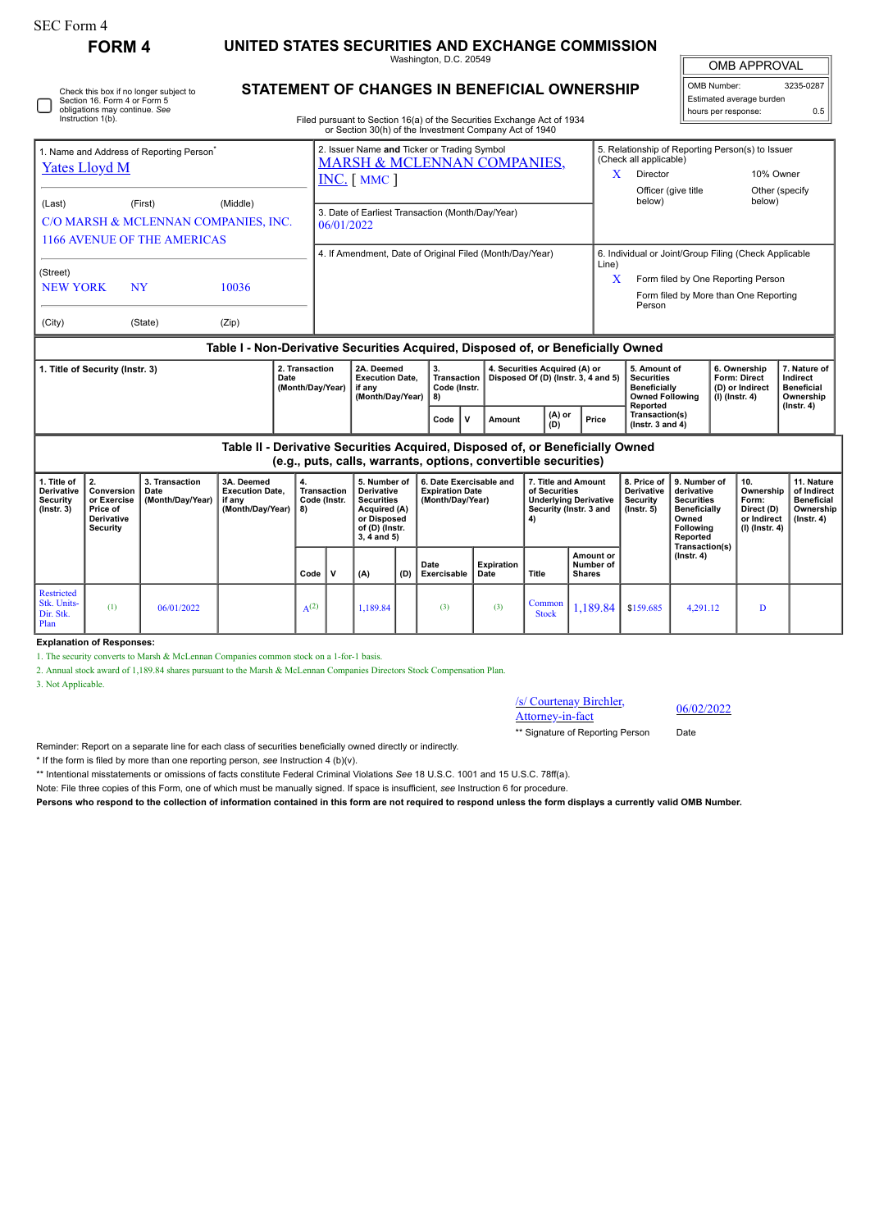| <b>SEC Form 4</b>                                                                                                                                                                   | <b>FORM4</b>                                                          |                                            | UNITED STATES SECURITIES AND EXCHANGE COMMISSION                                 |                                    |                                                                                                                                                                  |          |     |                                                                                                                                  |                                                                       |                                                                      |                                                                                                |                                                                                                                                                   |                                                                                                                            |                                                                   |                                                                          |                                                                                 |
|-------------------------------------------------------------------------------------------------------------------------------------------------------------------------------------|-----------------------------------------------------------------------|--------------------------------------------|----------------------------------------------------------------------------------|------------------------------------|------------------------------------------------------------------------------------------------------------------------------------------------------------------|----------|-----|----------------------------------------------------------------------------------------------------------------------------------|-----------------------------------------------------------------------|----------------------------------------------------------------------|------------------------------------------------------------------------------------------------|---------------------------------------------------------------------------------------------------------------------------------------------------|----------------------------------------------------------------------------------------------------------------------------|-------------------------------------------------------------------|--------------------------------------------------------------------------|---------------------------------------------------------------------------------|
|                                                                                                                                                                                     |                                                                       |                                            |                                                                                  |                                    | Washington, D.C. 20549                                                                                                                                           |          |     |                                                                                                                                  |                                                                       |                                                                      |                                                                                                |                                                                                                                                                   |                                                                                                                            | <b>OMB APPROVAL</b>                                               |                                                                          |                                                                                 |
| <b>STATEMENT OF CHANGES IN BENEFICIAL OWNERSHIP</b><br>Check this box if no longer subject to<br>Section 16. Form 4 or Form 5<br>obligations may continue. See<br>Instruction 1(b). |                                                                       |                                            |                                                                                  |                                    |                                                                                                                                                                  |          |     | Filed pursuant to Section 16(a) of the Securities Exchange Act of 1934<br>or Section 30(h) of the Investment Company Act of 1940 |                                                                       |                                                                      |                                                                                                |                                                                                                                                                   |                                                                                                                            | OMB Number:<br>hours per response:                                | Estimated average burden                                                 | 3235-0287<br>0.5                                                                |
| 1. Name and Address of Reporting Person<br><b>Yates Lloyd M</b>                                                                                                                     |                                                                       |                                            |                                                                                  |                                    | 2. Issuer Name and Ticker or Trading Symbol<br><b>MARSH &amp; MCLENNAN COMPANIES,</b><br>INC. [ MMC ]                                                            |          |     |                                                                                                                                  |                                                                       |                                                                      |                                                                                                | 5. Relationship of Reporting Person(s) to Issuer<br>(Check all applicable)<br>Director<br>10% Owner<br>X<br>Officer (give title<br>Other (specify |                                                                                                                            |                                                                   |                                                                          |                                                                                 |
| (Last)<br>(First)<br>(Middle)<br>C/O MARSH & MCLENNAN COMPANIES, INC.<br><b>1166 AVENUE OF THE AMERICAS</b>                                                                         |                                                                       |                                            |                                                                                  |                                    | 3. Date of Earliest Transaction (Month/Day/Year)<br>06/01/2022<br>4. If Amendment, Date of Original Filed (Month/Day/Year)                                       |          |     |                                                                                                                                  |                                                                       |                                                                      |                                                                                                | below)                                                                                                                                            |                                                                                                                            |                                                                   | below)                                                                   |                                                                                 |
| (Street)<br><b>NEW YORK</b><br><b>NY</b>                                                                                                                                            |                                                                       |                                            | 10036                                                                            |                                    | Line)<br>X                                                                                                                                                       |          |     |                                                                                                                                  |                                                                       |                                                                      |                                                                                                | 6. Individual or Joint/Group Filing (Check Applicable<br>Form filed by One Reporting Person<br>Form filed by More than One Reporting<br>Person    |                                                                                                                            |                                                                   |                                                                          |                                                                                 |
| (City)<br>(State)<br>(Zip)                                                                                                                                                          |                                                                       |                                            |                                                                                  |                                    |                                                                                                                                                                  |          |     |                                                                                                                                  |                                                                       |                                                                      |                                                                                                |                                                                                                                                                   |                                                                                                                            |                                                                   |                                                                          |                                                                                 |
|                                                                                                                                                                                     |                                                                       |                                            | Table I - Non-Derivative Securities Acquired, Disposed of, or Beneficially Owned |                                    |                                                                                                                                                                  |          |     |                                                                                                                                  |                                                                       |                                                                      |                                                                                                |                                                                                                                                                   |                                                                                                                            |                                                                   |                                                                          |                                                                                 |
| 1. Title of Security (Instr. 3)<br>Date                                                                                                                                             |                                                                       |                                            |                                                                                  | 2. Transaction<br>(Month/Day/Year) | 2A. Deemed<br><b>Execution Date.</b><br>if any<br>(Month/Day/Year)                                                                                               |          |     | 3.<br>Transaction<br>Code (Instr.<br>8)                                                                                          |                                                                       | 4. Securities Acquired (A) or<br>Disposed Of (D) (Instr. 3, 4 and 5) |                                                                                                | 5. Amount of<br><b>Securities</b><br><b>Beneficially</b><br><b>Owned Following</b><br>Reported                                                    |                                                                                                                            | 6. Ownership<br>Form: Direct<br>(D) or Indirect<br>(I) (Instr. 4) |                                                                          | 7. Nature of<br>Indirect<br><b>Beneficial</b><br>Ownership                      |
|                                                                                                                                                                                     |                                                                       |                                            |                                                                                  |                                    |                                                                                                                                                                  |          |     | $\mathsf{v}$<br>Code                                                                                                             | Amount                                                                | (A) or<br>(D)                                                        | Price                                                                                          | Transaction(s)<br>( $lnstr. 3 and 4$ )                                                                                                            |                                                                                                                            |                                                                   |                                                                          | $($ Instr. 4 $)$                                                                |
| Table II - Derivative Securities Acquired, Disposed of, or Beneficially Owned<br>(e.g., puts, calls, warrants, options, convertible securities)                                     |                                                                       |                                            |                                                                                  |                                    |                                                                                                                                                                  |          |     |                                                                                                                                  |                                                                       |                                                                      |                                                                                                |                                                                                                                                                   |                                                                                                                            |                                                                   |                                                                          |                                                                                 |
| 1. Title of<br><b>Derivative</b><br>Security<br>$($ Instr. $3)$                                                                                                                     | 2.<br>Conversion<br>or Exercise<br>Price of<br>Derivative<br>Security | 3. Transaction<br>Date<br>(Month/Day/Year) | 3A. Deemed<br><b>Execution Date.</b><br>if any<br>(Month/Day/Year)               | 4.<br>8)                           | 5. Number of<br><b>Derivative</b><br><b>Transaction</b><br><b>Securities</b><br>Code (Instr.<br>Acquired (A)<br>or Disposed<br>of (D) (Instr.<br>$3, 4$ and $5)$ |          |     |                                                                                                                                  | 6. Date Exercisable and<br><b>Expiration Date</b><br>(Month/Day/Year) |                                                                      | 7. Title and Amount<br>of Securities<br><b>Underlying Derivative</b><br>Security (Instr. 3 and | 8. Price of<br>Derivative<br>Security<br>$($ lnstr. 5 $)$                                                                                         | 9. Number of<br>derivative<br><b>Securities</b><br><b>Beneficially</b><br>Owned<br>Following<br>Reported<br>Transaction(s) |                                                                   | 10.<br>Ownership<br>Form:<br>Direct (D)<br>or Indirect<br>(I) (Instr. 4) | 11. Nature<br>of Indirect<br><b>Beneficial</b><br>Ownership<br>$($ lnstr. 4 $)$ |
|                                                                                                                                                                                     |                                                                       |                                            |                                                                                  | Code                               | V                                                                                                                                                                | (A)      | (D) | Date<br>Exercisable                                                                                                              | <b>Expiration</b><br>Date                                             | <b>Title</b>                                                         | Amount or<br>Number of<br><b>Shares</b>                                                        |                                                                                                                                                   | $($ Instr. 4 $)$                                                                                                           |                                                                   |                                                                          |                                                                                 |
| Restricted<br>Stk. Units-<br>Dir. Stk.<br>Plan                                                                                                                                      | (1)                                                                   | 06/01/2022                                 |                                                                                  | $A^{(2)}$                          |                                                                                                                                                                  | 1,189.84 |     | (3)                                                                                                                              | (3)                                                                   | Common<br><b>Stock</b>                                               | 1.189.84                                                                                       | \$159.685                                                                                                                                         | 4,291.12                                                                                                                   |                                                                   | D                                                                        |                                                                                 |

**Explanation of Responses:**

1. The security converts to Marsh & McLennan Companies common stock on a 1-for-1 basis.

2. Annual stock award of 1,189.84 shares pursuant to the Marsh & McLennan Companies Directors Stock Compensation Plan.

3. Not Applicable.

/s/ Courtenay Birchler,  $\frac{\text{S} \cdot \text{C} \cdot \text{C} \cdot \text{C} \cdot \text{C} \cdot \text{C} \cdot \text{C}}{ \text{Attorney-in-factor}}$  06/02/2022

\*\* Signature of Reporting Person Date

Reminder: Report on a separate line for each class of securities beneficially owned directly or indirectly.

\* If the form is filed by more than one reporting person, *see* Instruction 4 (b)(v).

\*\* Intentional misstatements or omissions of facts constitute Federal Criminal Violations *See* 18 U.S.C. 1001 and 15 U.S.C. 78ff(a).

Note: File three copies of this Form, one of which must be manually signed. If space is insufficient, *see* Instruction 6 for procedure.

**Persons who respond to the collection of information contained in this form are not required to respond unless the form displays a currently valid OMB Number.**